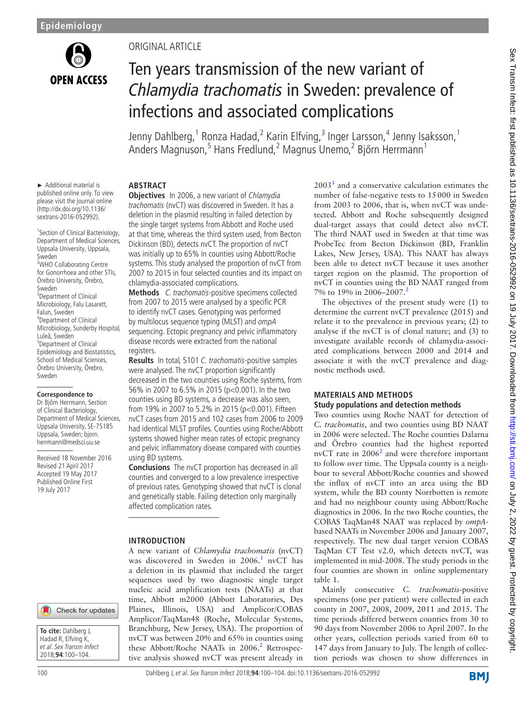

# Original Article

# Ten years transmission of the new variant of *Chlamydia trachomatis* in Sweden: prevalence of infections and associated complications

Jenny Dahlberg, <sup>1</sup> Ronza Hadad, <sup>2</sup> Karin Elfving, <sup>3</sup> Inger Larsson, <sup>4</sup> Jenny Isaksson, <sup>1</sup> Anders Magnuson, 5 Hans Fredlund, 2 Magnus Unemo, 2 Bjőrn Herrmann 1

## ► Additional material is **Abstract**

published online only. To view please visit the journal online (http://dx.doi.org/10.1136/ sextrans-2016-052992).

1 Section of Clinical Bacteriology, Department of Medical Sciences, Uppsala University, Uppsala, Sweden <sup>2</sup>WHO Collaborating Centre for Gonorrhoea and other STIs, Örebro University, Örebro, Sweden <sup>3</sup>Department of Clinical Microbiology, Falu Lasarett, Falun, Sweden 4 Department of Clinical Microbiology, Sunderby Hospital, Luleå, Sweden 5 Department of Clinical Epidemiology and Biostatistics, School of Medical Sciences, Örebro University, Örebro, Sweden

**Correspondence to**

Dr Bjőrn Herrmann, Section of Clinical Bacteriology, Department of Medical Sciences, Uppsala University, SE-75185 Uppsala, Sweden; bjorn. herrmann@medsci.uu.se

Received 18 November 2016 Revised 21 April 2017 Accepted 19 May 2017 Published Online First 19 July 2017

## Check for updates



**Objectives** In 2006, a new variant of Chlamydia trachomatis (nvCT) was discovered in Sweden. It has a deletion in the plasmid resulting in failed detection by the single target systems from Abbott and Roche used at that time, whereas the third system used, from Becton Dickinson (BD), detects nvCT. The proportion of nvCT was initially up to 65% in counties using Abbott/Roche systems. This study analysed the proportion of nvCT from 2007 to 2015 in four selected counties and its impact on chlamydia-associated complications.

**Methods** C. trachomatis-positive specimens collected from 2007 to 2015 were analysed by a specific PCR to identify nvCT cases. Genotyping was performed by multilocus sequence typing (MLST) and ompA sequencing. Ectopic pregnancy and pelvic inflammatory disease records were extracted from the national registers.

**Results** In total, 5101 C. trachomatis-positive samples were analysed. The nvCT proportion significantly decreased in the two counties using Roche systems, from 56% in 2007 to 6.5% in 2015 (p<0.001). In the two counties using BD systems, a decrease was also seen, from 19% in 2007 to 5.2% in 2015 (p<0.001). Fifteen nvCT cases from 2015 and 102 cases from 2006 to 2009 had identical MLST profiles. Counties using Roche/Abbott systems showed higher mean rates of ectopic pregnancy and pelvic inflammatory disease compared with counties using BD systems.

**Conclusions** The nvCT proportion has decreased in all counties and converged to a low prevalence irrespective of previous rates. Genotyping showed that nvCT is clonal and genetically stable. Failing detection only marginally affected complication rates.

# **Introduction**

A new variant of *Chlamydia trachomatis* (nvCT) was discovered in Sweden in 2006.<sup>[1](#page-4-0)</sup> nvCT has a deletion in its plasmid that included the target sequences used by two diagnostic single target nucleic acid amplification tests (NAATs) at that time, Abbott m2000 (Abbott Laboratories, Des Plaines, Illinois, USA) and Amplicor/COBAS Amplicor/TaqMan48 (Roche, Molecular Systems, Branchburg, New Jersey, USA). The proportion of nvCT was between 20% and 65% in counties using these Abbott/Roche NAATs in [2](#page-4-1)006.<sup>2</sup> Retrospective analysis showed nvCT was present already in

 $2003<sup>3</sup>$  $2003<sup>3</sup>$  $2003<sup>3</sup>$  and a conservative calculation estimates the number of false-negative tests to 15000 in Sweden from 2003 to 2006, that is, when nvCT was undetected. Abbott and Roche subsequently designed dual-target assays that could detect also nvCT. The third NAAT used in Sweden at that time was ProbeTec from Becton Dickinson (BD, Franklin Lakes, New Jersey, USA). This NAAT has always been able to detect nvCT because it uses another target region on the plasmid. The proportion of nvCT in counties using the BD NAAT ranged from 7% to 19% in [2](#page-4-1)006–2007.<sup>2</sup>

The objectives of the present study were (1) to determine the current nvCT prevalence (2015) and relate it to the prevalence in previous years; (2) to analyse if the nvCT is of clonal nature; and (3) to investigate available records of chlamydia-associated complications between 2000 and 2014 and associate it with the nvCT prevalence and diagnostic methods used.

## **Materials and methods Study populations and detection methods**

Two counties using Roche NAAT for detection of *C. trachomatis*, and two counties using BD NAAT in 2006 were selected. The Roche counties Dalarna and Örebro counties had the highest reported nvCT rate in  $2006<sup>2</sup>$  $2006<sup>2</sup>$  and were therefore important to follow over time. The Uppsala county is a neighbour to several Abbott/Roche counties and showed the influx of nvCT into an area using the BD system, while the BD county Norrbotten is remote and had no neighbour county using Abbott/Roche diagnostics in 2006. In the two Roche counties, the COBAS TaqMan48 NAAT was replaced by *ompA*based NAATs in November 2006 and January 2007, respectively. The new dual target version COBAS TaqMan CT Test v2.0, which detects nvCT, was implemented in mid-2008. The study periods in the four counties are shown in online [supplementary](https://dx.doi.org/10.1136/sextrans-2016-052992) [table 1.](https://dx.doi.org/10.1136/sextrans-2016-052992)

Mainly consecutive *C. trachomatis*-positive specimens (one per patient) were collected in each county in 2007, 2008, 2009, 2011 and 2015. The time periods differed between counties from 30 to 90 days from November 2006 to April 2007. In the other years, collection periods varied from 60 to 147 days from January to July. The length of collection periods was chosen to show differences in

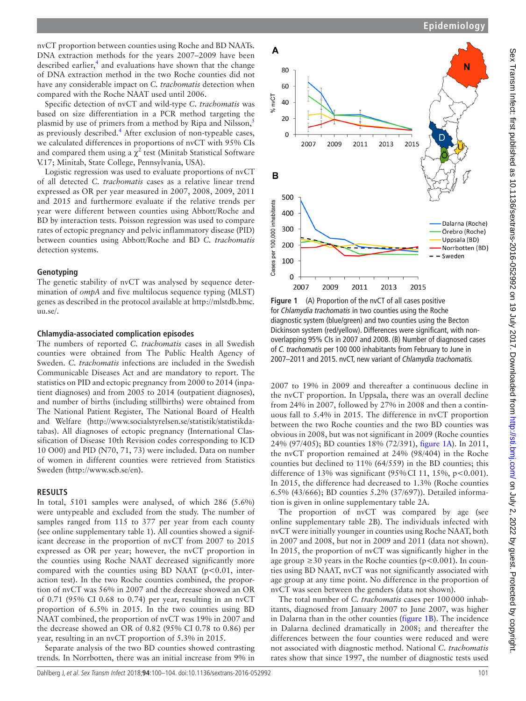nvCT proportion between counties using Roche and BD NAATs. DNA extraction methods for the years 2007–2009 have been described earlier, $<sup>4</sup>$  and evaluations have shown that the change</sup> of DNA extraction method in the two Roche counties did not have any considerable impact on *C. trachomatis* detection when compared with the Roche NAAT used until 2006.

Specific detection of nvCT and wild-type *C. trachomatis* was based on size differentiation in a PCR method targeting the plasmid by use of primers from a method by Ripa and Nilsson,<sup>5</sup> as previously described.<sup>[4](#page-4-3)</sup> After exclusion of non-typeable cases, we calculated differences in proportions of nvCT with 95% CIs and compared them using a  $\chi^2$  test (Minitab Statistical Software V.17; Minitab, State College, Pennsylvania, USA).

Logistic regression was used to evaluate proportions of nvCT of all detected *C. trachomatis* cases as a relative linear trend expressed as OR per year measured in 2007, 2008, 2009, 2011 and 2015 and furthermore evaluate if the relative trends per year were different between counties using Abbott/Roche and BD by interaction tests. Poisson regression was used to compare rates of ectopic pregnancy and pelvic inflammatory disease (PID) between counties using Abbott/Roche and BD *C. trachomatis* detection systems.

## **Genotyping**

The genetic stability of nvCT was analysed by sequence determination of *ompA* and five multilocus sequence typing (MLST) genes as described in the protocol available at [http://mlstdb.bmc.](http://mlstdb.bmc.uu.se/.) [uu.se/.](http://mlstdb.bmc.uu.se/.)

# **Chlamydia-associated complication episodes**

The numbers of reported *C. trachomatis* cases in all Swedish counties were obtained from The Public Health Agency of Sweden. *C. trachomatis* infections are included in the Swedish Communicable Diseases Act and are mandatory to report. The statistics on PID and ectopic pregnancy from 2000 to 2014 (inpatient diagnoses) and from 2005 to 2014 (outpatient diagnoses), and number of births (including stillbirths) were obtained from The National Patient Register, The National Board of Health and Welfare ([http://www.socialstyrelsen.se/statistik/statistikda](http://www.socialstyrelsen.se/statistik/statistikdatabas)[tabas](http://www.socialstyrelsen.se/statistik/statistikdatabas)). All diagnoses of ectopic pregnancy (International Classification of Disease 10th Revision codes corresponding to ICD 10 O00) and PID (N70, 71, 73) were included. Data on number of women in different counties were retrieved from Statistics Sweden [\(http://www.scb.se/en\)](http://www.scb.se/en).

# **Results**

In total, 5101 samples were analysed, of which 286 (5.6%) were untypeable and excluded from the study. The number of samples ranged from 115 to 377 per year from each county (see online [supplementary table 1\)](https://dx.doi.org/10.1136/sextrans-2016-052992). All counties showed a significant decrease in the proportion of nvCT from 2007 to 2015 expressed as OR per year; however, the nvCT proportion in the counties using Roche NAAT decreased significantly more compared with the counties using BD NAAT ( $p$ <0.01, interaction test). In the two Roche counties combined, the proportion of nvCT was 56% in 2007 and the decrease showed an OR of 0.71 (95% CI 0.68 to 0.74) per year, resulting in an nvCT proportion of 6.5% in 2015. In the two counties using BD NAAT combined, the proportion of nvCT was 19% in 2007 and the decrease showed an OR of 0.82 (95% CI 0.78 to 0.86) per year, resulting in an nvCT proportion of 5.3% in 2015.

Separate analysis of the two BD counties showed contrasting trends. In Norrbotten, there was an initial increase from 9% in



<span id="page-1-0"></span>**Figure 1** (A) Proportion of the nvCT of all cases positive for *Chlamydia trachomatis* in two counties using the Roche diagnostic system (blue/green) and two counties using the Becton Dickinson system (red/yellow). Differences were significant, with nonoverlapping 95% CIs in 2007 and 2008. (B) Number of diagnosed cases of *C. trachomatis* per 100 000 inhabitants from February to June in 2007–2011 and 2015. nvCT, new variant of *Chlamydia trachomatis.*

2007 to 19% in 2009 and thereafter a continuous decline in the nvCT proportion. In Uppsala, there was an overall decline from 24% in 2007, followed by 27% in 2008 and then a continuous fall to 5.4% in 2015. The difference in nvCT proportion between the two Roche counties and the two BD counties was obvious in 2008, but was not significant in 2009 (Roche counties 24% (97/405); BD counties 18% (72/391), [figure](#page-1-0) 1A). In 2011, the nvCT proportion remained at 24% (98/404) in the Roche counties but declined to 11% (64/559) in the BD counties; this difference of 13% was significant (95% CI 11, 15%, p<0.001). In 2015, the difference had decreased to 1.3% (Roche counties 6.5% (43/666); BD counties 5.2% (37/697)). Detailed information is given in online [supplementary table 2A.](https://dx.doi.org/10.1136/sextrans-2016-052992)

The proportion of nvCT was compared by age (see online [supplementary table 2B\)](https://dx.doi.org/10.1136/sextrans-2016-052992). The individuals infected with nvCT were initially younger in counties using Roche NAAT, both in 2007 and 2008, but not in 2009 and 2011 (data not shown). In 2015, the proportion of nvCT was significantly higher in the age group  $\geq$ 30 years in the Roche counties (p<0.001). In counties using BD NAAT, nvCT was not significantly associated with age group at any time point. No difference in the proportion of nvCT was seen between the genders (data not shown).

The total number of *C. trachomatis* cases per 100000 inhabitants, diagnosed from January 2007 to June 2007, was higher in Dalarna than in the other counties [\(figure](#page-1-0) 1B). The incidence in Dalarna declined dramatically in 2008; and thereafter the differences between the four counties were reduced and were not associated with diagnostic method. National *C. trachomatis* rates show that since 1997, the number of diagnostic tests used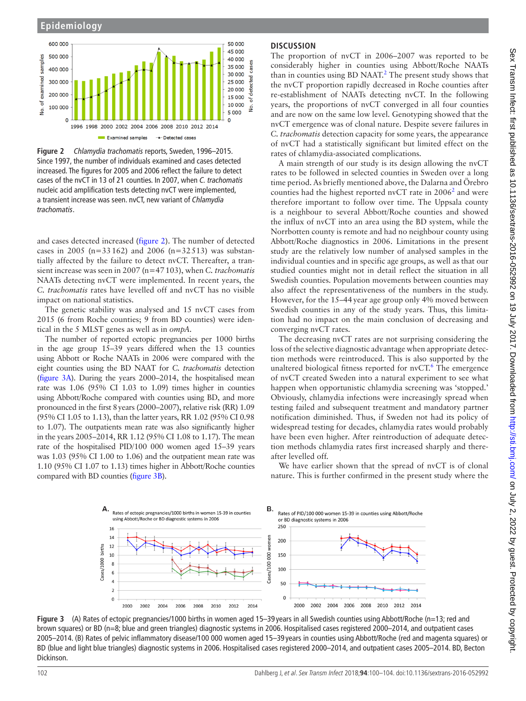#### **Epidemiology**



<span id="page-2-0"></span>**Figure 2** *Chlamydia trachomatis* reports, Sweden, 1996–2015. Since 1997, the number of individuals examined and cases detected increased. The figures for 2005 and 2006 reflect the failure to detect cases of the nvCT in 13 of 21 counties. In 2007, when *C. trachomatis* nucleic acid amplification tests detecting nvCT were implemented, a transient increase was seen. nvCT, new variant of *Chlamydia trachomatis*.

and cases detected increased [\(figure](#page-2-0) 2). The number of detected cases in 2005 (n=33162) and 2006 (n=32513) was substantially affected by the failure to detect nvCT. Thereafter, a transient increase was seen in 2007 (n=47103), when *C. trachomatis* NAATs detecting nvCT were implemented. In recent years, the *C. trachomatis* rates have levelled off and nvCT has no visible impact on national statistics.

The genetic stability was analysed and 15 nvCT cases from 2015 (6 from Roche counties; 9 from BD counties) were identical in the 5 MLST genes as well as in *ompA*.

The number of reported ectopic pregnancies per 1000 births in the age group 15–39 years differed when the 13 counties using Abbott or Roche NAATs in 2006 were compared with the eight counties using the BD NAAT for *C. trachomatis* detection ([figure](#page-2-1) 3A). During the years 2000–2014, the hospitalised mean rate was 1.06 (95% CI 1.03 to 1.09) times higher in counties using Abbott/Roche compared with counties using BD, and more pronounced in the first 8years (2000–2007), relative risk (RR) 1.09 (95% CI 1.05 to 1.13), than the latter years, RR 1.02 (95% CI 0.98 to 1.07). The outpatients mean rate was also significantly higher in the years 2005–2014, RR 1.12 (95% CI 1.08 to 1.17). The mean rate of the hospitalised PID/100 000 women aged 15–39 years was 1.03 (95% CI 1.00 to 1.06) and the outpatient mean rate was 1.10 (95% CI 1.07 to 1.13) times higher in Abbott/Roche counties compared with BD counties ([figure](#page-2-1) 3B).

# **Discussion**

The proportion of nvCT in 2006–2007 was reported to be considerably higher in counties using Abbott/Roche NAATs than in counties using  $BD$  NAAT.<sup>[2](#page-4-1)</sup> The present study shows that the nvCT proportion rapidly decreased in Roche counties after re-establishment of NAATs detecting nvCT. In the following years, the proportions of nvCT converged in all four counties and are now on the same low level. Genotyping showed that the nvCT emergence was of clonal nature. Despite severe failures in *C. trachomatis* detection capacity for some years, the appearance of nvCT had a statistically significant but limited effect on the rates of chlamydia-associated complications.

A main strength of our study is its design allowing the nvCT rates to be followed in selected counties in Sweden over a long time period. As briefly mentioned above, the Dalarna and Örebro counties had the highest reported nvCT rate in  $2006^2$  $2006^2$  and were therefore important to follow over time. The Uppsala county is a neighbour to several Abbott/Roche counties and showed the influx of nvCT into an area using the BD system, while the Norrbotten county is remote and had no neighbour county using Abbott/Roche diagnostics in 2006. Limitations in the present study are the relatively low number of analysed samples in the individual counties and in specific age groups, as well as that our studied counties might not in detail reflect the situation in all Swedish counties. Population movements between counties may also affect the representativeness of the numbers in the study. However, for the 15–44year age group only 4% moved between Swedish counties in any of the study years. Thus, this limitation had no impact on the main conclusion of decreasing and converging nvCT rates.

The decreasing nvCT rates are not surprising considering the loss of the selective diagnostic advantage when appropriate detection methods were reintroduced. This is also supported by the unaltered biological fitness reported for  $nvCT$ . The emergence of nvCT created Sweden into a natural experiment to see what happen when opportunistic chlamydia screening was 'stopped.' Obviously, chlamydia infections were increasingly spread when testing failed and subsequent treatment and mandatory partner notification diminished. Thus, if Sweden not had its policy of widespread testing for decades, chlamydia rates would probably have been even higher. After reintroduction of adequate detection methods chlamydia rates first increased sharply and thereafter levelled off.

We have earlier shown that the spread of nvCT is of clonal nature. This is further confirmed in the present study where the

<span id="page-2-1"></span>

**Figure 3** (A) Rates of ectopic pregnancies/1000 births in women aged 15–39 years in all Swedish counties using Abbott/Roche (n=13; red and brown squares) or BD (n=8; blue and green triangles) diagnostic systems in 2006. Hospitalised cases registered 2000–2014, and outpatient cases 2005–2014. (B) Rates of pelvic inflammatory disease/100 000 women aged 15–39 years in counties using Abbott/Roche (red and magenta squares) or BD (blue and light blue triangles) diagnostic systems in 2006. Hospitalised cases registered 2000–2014, and outpatient cases 2005–2014. BD, Becton Dickinson.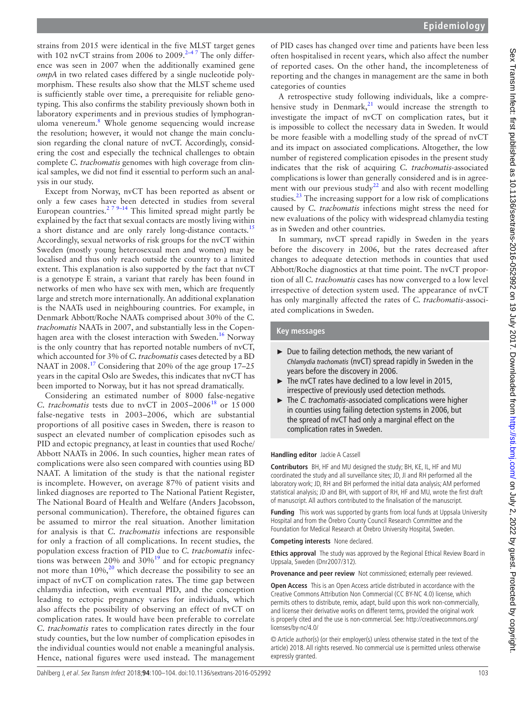strains from 2015 were identical in the five MLST target genes with 102 nvCT strains from 2006 to 2009. $2-4$  The only difference was seen in 2007 when the additionally examined gene *ompA* in two related cases differed by a single nucleotide polymorphism. These results also show that the MLST scheme used is sufficiently stable over time, a prerequisite for reliable genotyping. This also confirms the stability previously shown both in laboratory experiments and in previous studies of lymphogran-uloma venereum.<sup>[8](#page-4-6)</sup> Whole genome sequencing would increase the resolution; however, it would not change the main conclusion regarding the clonal nature of nvCT. Accordingly, considering the cost and especially the technical challenges to obtain complete *C. trachomatis* genomes with high coverage from clinical samples, we did not find it essential to perform such an analysis in our study.

Except from Norway, nvCT has been reported as absent or only a few cases have been detected in studies from several European countries.<sup>2 7 9–14</sup> This limited spread might partly be explained by the fact that sexual contacts are mostly living within a short distance and are only rarely long-distance contacts.<sup>[15](#page-4-7)</sup> Accordingly, sexual networks of risk groups for the nvCT within Sweden (mostly young heterosexual men and women) may be localised and thus only reach outside the country to a limited extent. This explanation is also supported by the fact that nvCT is a genotype E strain, a variant that rarely has been found in networks of men who have sex with men, which are frequently large and stretch more internationally. An additional explanation is the NAATs used in neighbouring countries. For example, in Denmark Abbott/Roche NAATs comprised about 30% of the *C. trachomatis* NAATs in 2007, and substantially less in the Copen-hagen area with the closest interaction with Sweden.<sup>[16](#page-4-8)</sup> Norway is the only country that has reported notable numbers of nvCT, which accounted for 3% of *C. trachomatis* cases detected by a BD NAAT in 2008.<sup>17</sup> Considering that 20% of the age group 17–25 years in the capital Oslo are Swedes, this indicates that nvCT has been imported to Norway, but it has not spread dramatically.

Considering an estimated number of 8000 false-negative *C. trachomatis* tests due to nvCT in  $2005-2006^{18}$  or  $15000$ false-negative tests in 2003–2006, which are substantial proportions of all positive cases in Sweden, there is reason to suspect an elevated number of complication episodes such as PID and ectopic pregnancy, at least in counties that used Roche/ Abbott NAATs in 2006. In such counties, higher mean rates of complications were also seen compared with counties using BD NAAT. A limitation of the study is that the national register is incomplete. However, on average 87% of patient visits and linked diagnoses are reported to The National Patient Register, The National Board of Health and Welfare (Anders Jacobsson, personal communication). Therefore, the obtained figures can be assumed to mirror the real situation. Another limitation for analysis is that *C. trachomatis* infections are responsible for only a fraction of all complications. In recent studies, the population excess fraction of PID due to *C. trachomatis* infections was between 20% and  $30\%$ <sup>19</sup> and for ectopic pregnancy not more than  $10\%,^{20}$  which decrease the possibility to see an impact of nvCT on complication rates. The time gap between chlamydia infection, with eventual PID, and the conception leading to ectopic pregnancy varies for individuals, which also affects the possibility of observing an effect of nvCT on complication rates. It would have been preferable to correlate *C. trachomatis* rates to complication rates directly in the four study counties, but the low number of complication episodes in the individual counties would not enable a meaningful analysis. Hence, national figures were used instead. The management

of PID cases has changed over time and patients have been less often hospitalised in recent years, which also affect the number of reported cases. On the other hand, the incompleteness of reporting and the changes in management are the same in both categories of counties

A retrospective study following individuals, like a comprehensive study in Denmark, $^{21}$  would increase the strength to investigate the impact of nvCT on complication rates, but it is impossible to collect the necessary data in Sweden. It would be more feasible with a modelling study of the spread of nvCT and its impact on associated complications. Altogether, the low number of registered complication episodes in the present study indicates that the risk of acquiring *C. trachomatis-*associated complications is lower than generally considered and is in agree-ment with our previous study<sup>[22](#page-4-14)</sup> and also with recent modelling studies.<sup>23</sup> The increasing support for a low risk of complications caused by *C. trachomatis* infections might stress the need for new evaluations of the policy with widespread chlamydia testing as in Sweden and other countries.

In summary, nvCT spread rapidly in Sweden in the years before the discovery in 2006, but the rates decreased after changes to adequate detection methods in counties that used Abbott/Roche diagnostics at that time point. The nvCT proportion of all *C. trachomatis* cases has now converged to a low level irrespective of detection system used. The appearance of nvCT has only marginally affected the rates of *C. trachomatis-*associated complications in Sweden.

# **Key messages**

- ► Due to failing detection methods, the new variant of *Chlamydia trachomatis* (nvCT) spread rapidly in Sweden in the years before the discovery in 2006.
- $\blacktriangleright$  The nvCT rates have declined to a low level in 2015, irrespective of previously used detection methods.
- ► The *C. trachomatis*-associated complications were higher in counties using failing detection systems in 2006, but the spread of nvCT had only a marginal effect on the complication rates in Sweden.

## **Handling editor** Jackie A Cassell

**Contributors** BH, HF and MU designed the study; BH, KE, IL, HF and MU coordinated the study and all surveillance sites; JD, JI and RH performed all the laboratory work; JD, RH and BH performed the initial data analysis; AM performed statistical analysis; JD and BH, with support of RH, HF and MU, wrote the first draft of manuscript. All authors contributed to the finalisation of the manuscript.

**Funding** This work was supported by grants from local funds at Uppsala University Hospital and from the Örebro County Council Research Committee and the Foundation for Medical Research at Örebro University Hospital, Sweden.

**Competing interests** None declared.

**Ethics approval** The study was approved by the Regional Ethical Review Board in Uppsala, Sweden (Dnr2007/312).

**Provenance and peer review** Not commissioned; externally peer reviewed.

**Open Access** This is an Open Access article distributed in accordance with the Creative Commons Attribution Non Commercial (CC BY-NC 4.0) license, which permits others to distribute, remix, adapt, build upon this work non-commercially, and license their derivative works on different terms, provided the original work is properly cited and the use is non-commercial. See: [http://creativecommons.org/](http://creativecommons.org/licenses/by-nc/4.0/) [licenses/by-nc/4.0/](http://creativecommons.org/licenses/by-nc/4.0/)

© Article author(s) (or their employer(s) unless otherwise stated in the text of the article) 2018. All rights reserved. No commercial use is permitted unless otherwise expressly granted.